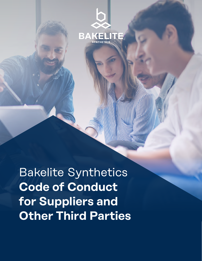

Bakelite Synthetics **Code of Conduct for Suppliers and Other Third Parties**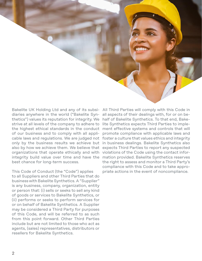diaries anywhere in the world ("Bakelite Syn-all aspects of their dealings with, for or on bethetics") values its reputation for integrity. We half of Bakelite Synthetics. To that end, Bakestrive at all levels of the company to adhere to the highest ethical standards in the conduct of our business and to comply with all appliorganizations that operate ethically and with violations of the Code using the contact inforintegrity build value over time and have the best chance for long-term success.

This Code of Conduct (the "Code") applies to all Suppliers and other Third Parties that do business with Bakelite Synthetics. A "Supplier" is any business, company, organization, entity or person that: (i) sells or seeks to sell any kind of goods or services to Bakelite Synthetics, or (ii) performs or seeks to perform services for or on behalf of Bakelite Synthetics. A Supplier may be considered a Third Party for purposes of this Code, and will be referred to as such from this point forward. Other Third Parties include but are not limited to those who act as agents, (sales) representatives, distributors or resellers for Bakelite Synthetics.

Bakelite UK Holding Ltd and any of its subsi-All Third Parties will comply with this Code in cable laws and regulations. We are judged not foster a culture that values ethics and integrity only by the business results we achieve but in business dealings. Bakelite Synthetics also also by how we achieve them. We believe that expects Third Parties to report any suspected lite Synthetics expects Third Parties to implement effective systems and controls that will promote compliance with applicable laws and mation provided. Bakelite Synthetics reserves the right to assess and monitor a Third Party's compliance with this Code and to take appropriate actions in the event of noncompliance.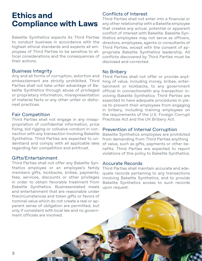### **Ethics and Compliance with Laws**

Bakelite Synthetics expects its Third Parties to conduct business in accordance with the highest ethical standards and expects all employees of Third Parties to be sensitive to ethical considerations and the consequences of their actions.

#### Business Integrity

Any and all forms of corruption, extortion and embezzlement are strictly prohibited. Third Parties shall not take unfair advantage of Bakelite Synthetics through abuse of privileged or proprietary information, misrepresentation of material facts or any other unfair or dishonest practices.

#### Fair Competition

Third Parties shall not engage in any misappropriation of confidential information, price fixing, bid rigging or collusive conduct in connection with any transaction involving Bakelite Synthetics. Third Parties are expected to understand and comply with all applicable laws regarding fair competition and antitrust.

#### Gifts/Entertainment

Third Parties shall not offer any Bakelite Synthetics employee or an employee's family members gifts, kickbacks, bribes, payments, fees, services, discounts or other privileges in order to obtain favorable treatment from Bakelite Synthetics. Businessrelated meals and entertainment that are reasonable under thecircumstances and token gifts or favors of nominal value which do not create a real or apparent sense of obligation are permitted, but only if consistent with local law and no government officials are involved.

#### Conflicts of Interest

Third Parties shall not enter into a financial or any other relationship with a Bakelite employee that creates any actual, potential or apparent conflict of interest with Bakelite. Bakelite Synthetics employees may not serve as officers, directors, employees, agents or consultants of Third Parties, except with the consent of appropriate Bakelite Synthetics leadership. All conflicts discovered by Third Parties must be disclosed and corrected.

#### No Bribery

Third Parties shall not offer or provide anything of value, including money, bribes, entertainment or kickbacks, to any government official in connectionwith any transaction involving Bakelite Synthetics. Third Parties are expected to have adequate procedures in place to prevent their employees from engaging in bribery, including training employees on the requirements of the U.S. Foreign Corrupt Practices Act and the UK Bribery Act.

#### Prevention of Internal Corruption

Bakelite Synthetics employees are prohibited from demanding from Third Parties anything of value, such as gifts, payments or other benefits. Third Parties are expected to report violations of this policy to Bakelite Synthetics.

#### Accurate Records

Third Parties shall maintain accurate and adequate records pertaining to any transactions involving Bakelite Synthetics, and to provide Bakelite Synthetics access to such records upon request.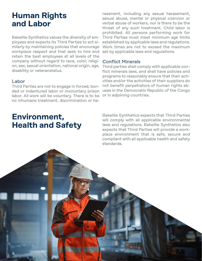# **Human Rights and Labor**

Bakelite Synthetics values the diversity of employees and expects its Third Parties to act similarly by maintaining policies that encourage workplace respect and that seek to hire and retain the best employees at all levels of the company without regard to race, color, religion, sex, sexual orientation, national origin, age, disability or veteranstatus.

#### Labor

Third Parties are not to engage in forced, bonded or indentured labor or involuntary prison labor. All work will be voluntary. There is to be no inhumane treatment, discrimination or ha-

# **Environment, Health and Safety**

rassment, including any sexual harassment, sexual abuse, mental or physical coercion or verbal abuse of workers, nor is there to be the threat of any such treatment. Child labor is prohibited. All persons performing work for Third Parties must meet minimum age limits established by applicable laws and regulations. Work times are not to exceed the maximum set by applicable laws and regulations.

#### Conflict Minerals

Third parties shall comply with applicable conflict minerals laws, and shall have policies and programs to reasonably ensure that their activities and/or the activities of their suppliers do not benefit perpetrators of human rights abuses in the Democratic Republic of the Congo or in adjoining countries.

Bakelite Synthetics expects that Third Parties will comply with all applicable environmental laws and regulations. Bakelite Synthetics also expects that Third Parties will provide a workplace environment that is safe, secure and compliant with all applicable health and safety standards.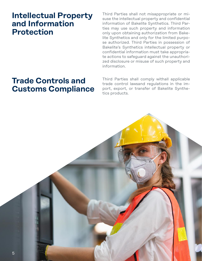### **Intellectual Property and Information Protection**

Third Parties shall not misappropriate or misuse the intellectual property and confidential information of Bakelite Synthetics. Third Parties may use such property and information only upon obtaining authorization from Bakelite Synthetics and only for the limited purpose authorized. Third Parties in possession of Bakelite's Synthetics intellectual property or confidential information must take appropriate actions to safeguard against the unauthorized disclosure or misuse of such property and information.

# **Trade Controls and Customs Compliance**

Third Parties shall comply withall applicable trade control lawsand regulations in the import, export, or transfer of Bakelite Synthetics products.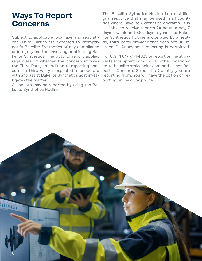## **Ways To Report Concerns**

Subject to applicable local laws and regulations, Third Parties are expected to promptly notify Bakelite Synthetics of any compliance or integrity matters involving or affecting Bakelite Synthetics. The duty to report applies regardless of whether the concern involves the Third Party. In addition to reporting concerns, a Third Party is expected to cooperate with and assist Bakelite Synthetics as it investigates the matter.

A concern may be reported by using the Bakelite Synthetics Hotline.

The Bakelite Sythetics Hotline is a multilingual resource that may be used in all countries where Bakelite Synthetics operates. It is available to receive reports 24 hours a day, 7 days a week and 365 days a year. The Bakelite Synthetics Hotline is operated by a neutral, third-party provider that does not utilize caller ID. Anonymous reporting is permitted.

For U.S.: 1 844-771-1625 or report online at bakelite.ethicspoint.com. For all other locations: go to bakelite.ethicspoint.com and select Report a Concern. Select the Country you are reporting from. You will have the option of reporting online or by phone.

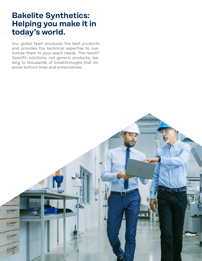## **Bakelite Synthetics: Helping you make it in today's world.**

Our global team produces the best products and provides the technical expertise to customize them to your exact needs. The result? Specific solutions, not generic products, leading to thousands of breakthroughs that improve bottom lines and enhancelives.